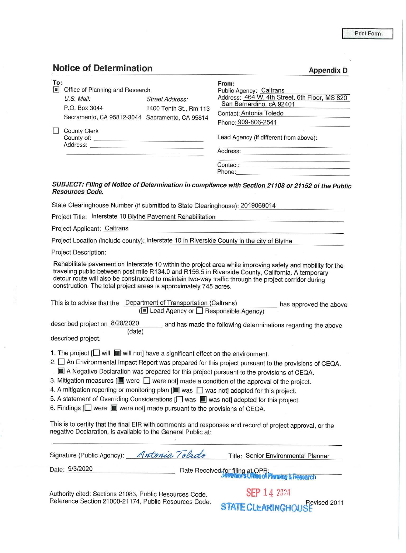## Print Form

**Appendix D** 

## **Notice of Determination**

| To:<br> n | Office of Planning and Research                                               |                                           | From:<br>Public Agency: Caltrans                                                                                            |
|-----------|-------------------------------------------------------------------------------|-------------------------------------------|-----------------------------------------------------------------------------------------------------------------------------|
|           | U.S. Mail:<br>P.O. Box 3044<br>Sacramento, CA 95812-3044 Sacramento, CA 95814 | Street Address:<br>1400 Tenth St., Rm 113 | Address: 464 W. 4th Street, 6th Floor, MS 820<br>San Bernardino, cA 92401<br>Contact: Antonia Toledo<br>Phone: 909-806-2541 |
|           | <b>County Clerk</b><br>County of:<br>Address:                                 |                                           | Lead Agency (if different from above):<br>Address:                                                                          |
|           |                                                                               |                                           | Contact:<br>Phone:                                                                                                          |

## **SUBJECT: Filing of Notice of Determination in compliance with Section 21108 or 21152 of the Public Resources Code.**

State Clearinghouse Number (if submitted to State Clearinghouse): 2019069014

|  | Project Title: Interstate 10 Blythe Pavement Rehabilitation |
|--|-------------------------------------------------------------|
|--|-------------------------------------------------------------|

Project Applicant: Caltrans

Project Location (include county): Interstate 10 in Riverside County in the city of Blythe

Project Description:

Rehabilitate pavement on Interstate 10 within the project area while improving safety and mobility for the traveling public between post mile R134.0 and R156.5 in Riverside County, California. A temporary detour route will also be constructed to maintain two-way traffic through the project corridor during construction. The total project areas is approximately 7 45 acres.

This is to advise that the Department of Transportation (Caltrans) (~ Lead Agency or D Responsible Agency) has approved the above

described project on 8/28/2020 (date) and has made the following determinations regarding the above

described project.

1. The project [ $\Box$  will  $\Box$  will not] have a significant effect on the environment.

2.  $\square$  An Environmental Impact Report was prepared for this project pursuant to the provisions of CEQA.

- III A Negative Declaration was prepared for this project pursuant to the provisions of CEQA.
- 3. Mitigation measures [**iii**] were  $\Box$  were not] made a condition of the approval of the project.
- 4. A mitigation reporting or monitoring plan [iiii] was  $\Box$  was not] adopted for this project.
- 5. A statement of Overriding Considerations [ $\Box$  was  $\blacksquare$  was not] adopted for this project.
- 6. Findings  $\Box$  were  $\Box$  were not] made pursuant to the provisions of CEQA.

This is to certify that the final EIR with comments and responses and record of project approval, or the negative Declaration, is available to the General Public at:

| Signature (Public Agency): Antonia Toledo               | Title: Senior Environmental Planner                                         |
|---------------------------------------------------------|-----------------------------------------------------------------------------|
| Date: 9/3/2020                                          | Date Received for filing at OPR:<br>Seven of surface of Planning & Research |
| Authority cited: Sections 21083, Public Resources Code. | <b>SEP 14 2020</b>                                                          |

Reference Section 21000-21174, Public Resources Code.

**STATE CLEARINGHOUSE**